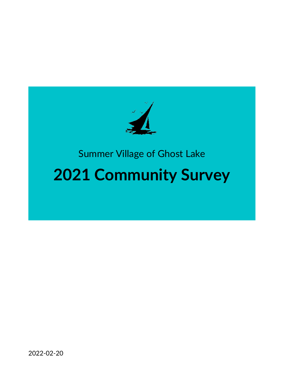

# Summer Village of Ghost Lake

# **2021 Community Survey**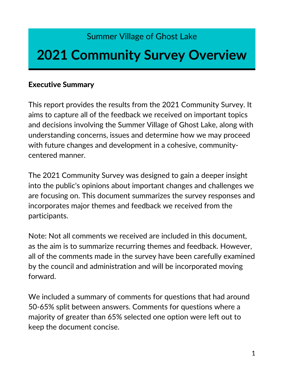# Summer Village of Ghost Lake

# **2021 Community Survey Overview**

## Executive Summary

This report provides the results from the 2021 Community Survey. It aims to capture all of the feedback we received on important topics and decisions involving the Summer Village of Ghost Lake, along with understanding concerns, issues and determine how we may proceed with future changes and development in a cohesive, communitycentered manner.

The 2021 Community Survey was designed to gain a deeper insight into the public's opinions about important changes and challenges we are focusing on. This document summarizes the survey responses and incorporates major themes and feedback we received from the participants.

Note: Not all comments we received are included in this document, as the aim is to summarize recurring themes and feedback. However, all of the comments made in the survey have been carefully examined by the council and administration and will be incorporated moving forward.

We included a summary of comments for questions that had around 50-65% split between answers. Comments for questions where a majority of greater than 65% selected one option were left out to keep the document concise.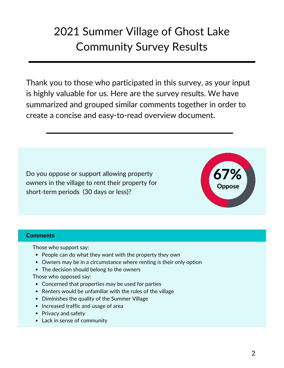# 2021 Summer Village of Ghost Lake Community Survey Results

Thank you to those who participated in this survey, as your input is highly valuable for us. Here are the survey results. We have summarized and grouped similar comments together in order to create a concise and easy-to-read overview document.

Do you oppose or support allowing property owners in the village to rent their property for short-term periods (30 days or less)?



#### **Comments**

Those who support say:

- People can do what they want with the property they own
- Owners may be in a circumstance where renting is their only option
- The decision should belong to the owners

Those who opposed say:

- Concerned that properties may be used for parties
- Renters would be unfamiliar with the rules of the village
- Diminishes the quality of the Summer Village
- Increased traffic and usage of area
- Privacy and safety
- Lack in sense of community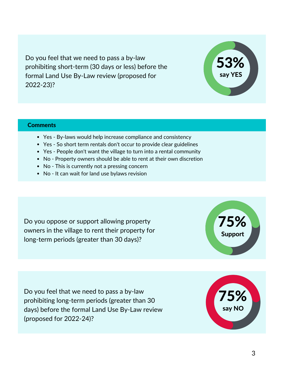Do you feel that we need to pass a by-law prohibiting short-term (30 days or less) before the formal Land Use By-Law review (proposed for 2022-23)?

#### **Comments**

- Yes By-laws would help increase compliance and consistency
- Yes So short term rentals don't occur to provide clear guidelines
- Yes People don't want the village to turn into a rental community
- No Property owners should be able to rent at their own discretion
- No This is currently not a pressing concern
- No It can wait for land use bylaws revision

Do you oppose or support allowing property owners in the village to rent their property for long-term periods (greater than 30 days)?

Do you feel that we need to pass a by-law prohibiting long-term periods (greater than 30 days) before the formal Land Use By-Law review (proposed for 2022-24)?





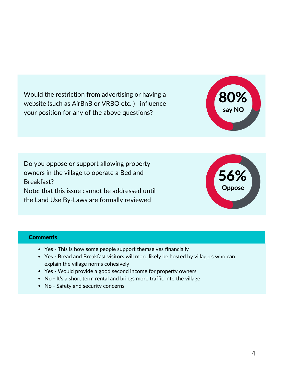Would the restriction from advertising or having a website (such as AirBnB or VRBO etc. ) influence your position for any of the above questions?

Do you oppose or support allowing property owners in the village to operate a Bed and Breakfast? Note: that this issue cannot be addressed until the Land Use By-Laws are formally reviewed

56% Oppose

80%

say NO

#### **Comments**

- Yes This is how some people support themselves financially
- Yes Bread and Breakfast visitors will more likely be hosted by villagers who can explain the village norms cohesively
- Yes Would provide a good second income for property owners
- No It's a short term rental and brings more traffic into the village
- No Safety and security concerns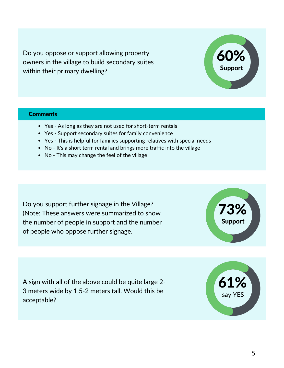Do you oppose or support allowing property owners in the village to build secondary suites within their primary dwelling?

#### **Comments**

- Yes As long as they are not used for short-term rentals
- Yes Support secondary suites for family convenience
- Yes This is helpful for families supporting relatives with special needs
- No It's a short term rental and brings more traffic into the village
- No This may change the feel of the village

Do you support further signage in the Village? (Note: These answers were summarized to show the number of people in support and the number of people who oppose further signage.

73% Support

A sign with all of the above could be quite large 2- 3 meters wide by 1.5-2 meters tall. Would this be acceptable?





61%

say YES

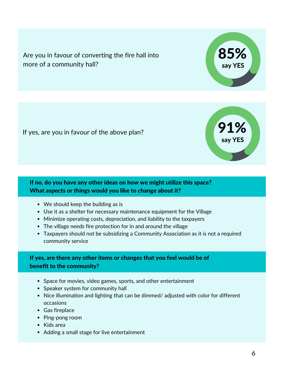Are you in favour of converting the fire hall into more of a community hall?

If yes, are you in favour of the above plan?

#### If no, do you have any other ideas on how we might utilize this space? What aspects or things would you like to change about it?

- We should keep the building as is
- Use it as a shelter for necessary maintenance equipment for the Village
- Minimize operating costs, depreciation, and liability to the taxpayers
- The village needs fire protection for in and around the village
- Taxpayers should not be subsidizing a Community Association as it is not a required community service

### If yes, are there any other items or changes that you feel would be of benefit to the community?

- Space for movies, video games, sports, and other entertainment
- Speaker system for community hall
- Nice illumination and lighting that can be dimmed/ adjusted with color for different occasions
- Gas fireplace
- Ping-pong room
- Kids area
- Adding a small stage for live entertainment



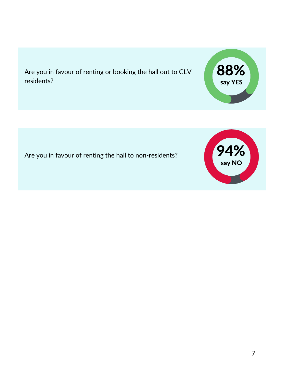Are you in favour of renting or booking the hall out to GLV residents?

Are you in favour of renting the hall to non-residents?



88%

say YES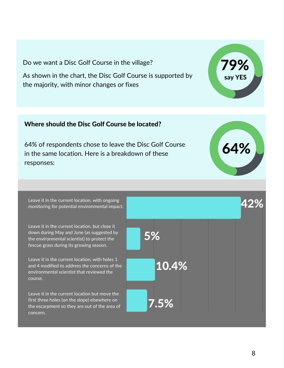Do we want a Disc Golf Course in the village?

As shown in the chart, the Disc Golf Course is supported by the majority, with minor changes or fixes

#### Where should the Disc Golf Course be located?

64% of respondents chose to leave the Disc Golf Course in the same location. Here is a breakdown of these responses:

Leave it in the current location, with ongoing monitoring for potential environmental impact.

Leave it in the current location, but close it down during May and June (as suggested by the environmental scientist) to protect the fescue grass during its growing season.

Leave it in the current location, with holes 1 and 4 modified to address the concerns of the environmental scientist that reviewed the course.

Leave it in the current location but move the first three holes (on the slope) elsewhere on the escarpment so they are out of the area of concern.





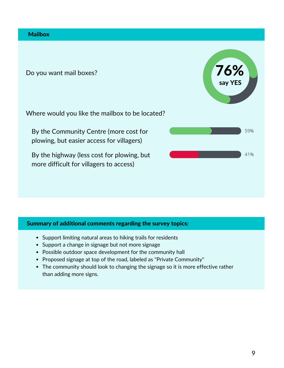#### **Mailbox**

Do you want mail boxes?

Where would you like the mailbox to be located?

By the Community Centre (more cost for plowing, but easier access for villagers)

By the highway (less cost for plowing, but more difficult for villagers to access)



- Support limiting natural areas to hiking trails for residents
- Support a change in signage but not more signage
- Possible outdoor space development for the community hall
- Proposed signage at top of the road, labeled as "Private Community"
- The community should look to changing the signage so it is more effective rather than adding more signs.



76%

say YES